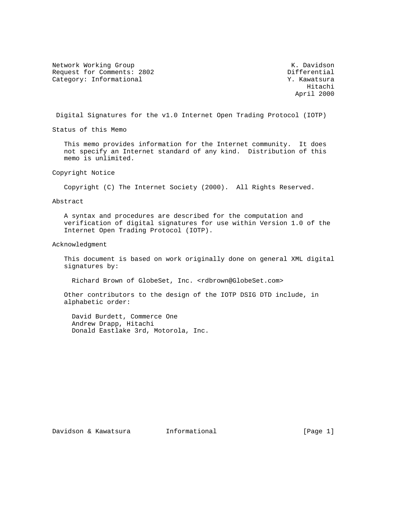Network Working Group Network Working Group Network Chamber Management Assembly Network Chamber Management Ass Request for Comments: 2802 Differential Category: Informational  $Y.$  Kawatsura

 Hitachi April 2000

Digital Signatures for the v1.0 Internet Open Trading Protocol (IOTP)

Status of this Memo

 This memo provides information for the Internet community. It does not specify an Internet standard of any kind. Distribution of this memo is unlimited.

Copyright Notice

Copyright (C) The Internet Society (2000). All Rights Reserved.

Abstract

 A syntax and procedures are described for the computation and verification of digital signatures for use within Version 1.0 of the Internet Open Trading Protocol (IOTP).

Acknowledgment

 This document is based on work originally done on general XML digital signatures by:

Richard Brown of GlobeSet, Inc. <rdbrown@GlobeSet.com>

 Other contributors to the design of the IOTP DSIG DTD include, in alphabetic order:

 David Burdett, Commerce One Andrew Drapp, Hitachi Donald Eastlake 3rd, Motorola, Inc.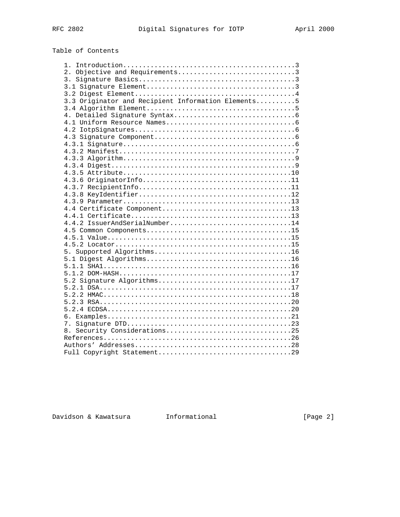# Table of Contents

| 2. Objective and Requirements3                     |  |
|----------------------------------------------------|--|
|                                                    |  |
|                                                    |  |
|                                                    |  |
| 3.3 Originator and Recipient Information Elements5 |  |
|                                                    |  |
|                                                    |  |
|                                                    |  |
|                                                    |  |
|                                                    |  |
|                                                    |  |
|                                                    |  |
|                                                    |  |
|                                                    |  |
|                                                    |  |
|                                                    |  |
|                                                    |  |
|                                                    |  |
|                                                    |  |
|                                                    |  |
|                                                    |  |
| 4.4.2 IssuerAndSerialNumber14                      |  |
|                                                    |  |
|                                                    |  |
|                                                    |  |
|                                                    |  |
|                                                    |  |
|                                                    |  |
|                                                    |  |
| 5.2 Signature Algorithms17                         |  |
|                                                    |  |
|                                                    |  |
|                                                    |  |
|                                                    |  |
|                                                    |  |
|                                                    |  |
| 8. Security Considerations25                       |  |
|                                                    |  |
|                                                    |  |
|                                                    |  |

Davidson & Kawatsura 1nformational 11.1 [Page 2]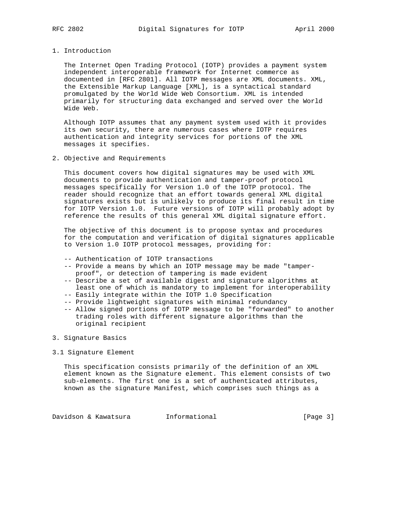## 1. Introduction

 The Internet Open Trading Protocol (IOTP) provides a payment system independent interoperable framework for Internet commerce as documented in [RFC 2801]. All IOTP messages are XML documents. XML, the Extensible Markup Language [XML], is a syntactical standard promulgated by the World Wide Web Consortium. XML is intended primarily for structuring data exchanged and served over the World Wide Web.

 Although IOTP assumes that any payment system used with it provides its own security, there are numerous cases where IOTP requires authentication and integrity services for portions of the XML messages it specifies.

# 2. Objective and Requirements

 This document covers how digital signatures may be used with XML documents to provide authentication and tamper-proof protocol messages specifically for Version 1.0 of the IOTP protocol. The reader should recognize that an effort towards general XML digital signatures exists but is unlikely to produce its final result in time for IOTP Version 1.0. Future versions of IOTP will probably adopt by reference the results of this general XML digital signature effort.

 The objective of this document is to propose syntax and procedures for the computation and verification of digital signatures applicable to Version 1.0 IOTP protocol messages, providing for:

- -- Authentication of IOTP transactions
- -- Provide a means by which an IOTP message may be made "tamper proof", or detection of tampering is made evident
- -- Describe a set of available digest and signature algorithms at least one of which is mandatory to implement for interoperability
- -- Easily integrate within the IOTP 1.0 Specification
- -- Provide lightweight signatures with minimal redundancy
- -- Allow signed portions of IOTP message to be "forwarded" to another trading roles with different signature algorithms than the original recipient
- 3. Signature Basics

#### 3.1 Signature Element

 This specification consists primarily of the definition of an XML element known as the Signature element. This element consists of two sub-elements. The first one is a set of authenticated attributes, known as the signature Manifest, which comprises such things as a

Davidson & Kawatsura Informational [Page 3]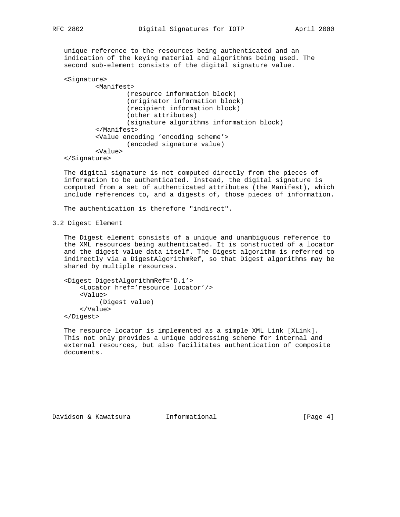unique reference to the resources being authenticated and an indication of the keying material and algorithms being used. The second sub-element consists of the digital signature value.

```
 <Signature>
         <Manifest>
                  (resource information block)
                  (originator information block)
                  (recipient information block)
                  (other attributes)
                  (signature algorithms information block)
         </Manifest>
         <Value encoding 'encoding scheme'>
                 (encoded signature value)
         <Value>
 </Signature>
```
 The digital signature is not computed directly from the pieces of information to be authenticated. Instead, the digital signature is computed from a set of authenticated attributes (the Manifest), which include references to, and a digests of, those pieces of information.

The authentication is therefore "indirect".

3.2 Digest Element

 The Digest element consists of a unique and unambiguous reference to the XML resources being authenticated. It is constructed of a locator and the digest value data itself. The Digest algorithm is referred to indirectly via a DigestAlgorithmRef, so that Digest algorithms may be shared by multiple resources.

```
 <Digest DigestAlgorithmRef='D.1'>
     <Locator href='resource locator'/>
     <Value>
          (Digest value)
     </Value>
 </Digest>
```
 The resource locator is implemented as a simple XML Link [XLink]. This not only provides a unique addressing scheme for internal and external resources, but also facilitates authentication of composite documents.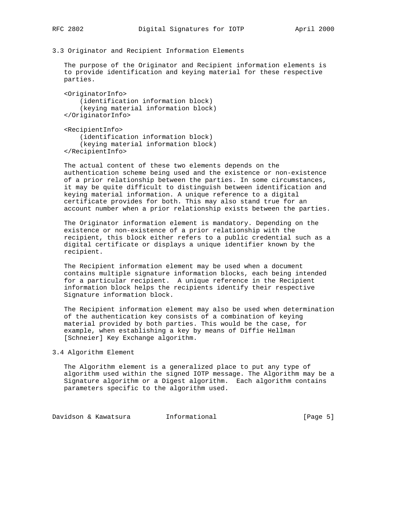3.3 Originator and Recipient Information Elements

 The purpose of the Originator and Recipient information elements is to provide identification and keying material for these respective parties.

 <OriginatorInfo> (identification information block) (keying material information block) </OriginatorInfo>

 <RecipientInfo> (identification information block) (keying material information block) </RecipientInfo>

 The actual content of these two elements depends on the authentication scheme being used and the existence or non-existence of a prior relationship between the parties. In some circumstances, it may be quite difficult to distinguish between identification and keying material information. A unique reference to a digital certificate provides for both. This may also stand true for an account number when a prior relationship exists between the parties.

 The Originator information element is mandatory. Depending on the existence or non-existence of a prior relationship with the recipient, this block either refers to a public credential such as a digital certificate or displays a unique identifier known by the recipient.

 The Recipient information element may be used when a document contains multiple signature information blocks, each being intended for a particular recipient. A unique reference in the Recipient information block helps the recipients identify their respective Signature information block.

 The Recipient information element may also be used when determination of the authentication key consists of a combination of keying material provided by both parties. This would be the case, for example, when establishing a key by means of Diffie Hellman [Schneier] Key Exchange algorithm.

#### 3.4 Algorithm Element

 The Algorithm element is a generalized place to put any type of algorithm used within the signed IOTP message. The Algorithm may be a Signature algorithm or a Digest algorithm. Each algorithm contains parameters specific to the algorithm used.

Davidson & Kawatsura Informational [Page 5]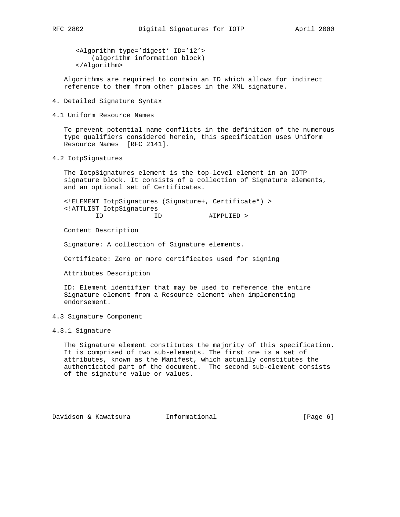<Algorithm type='digest' ID='12'> (algorithm information block)

</Algorithm>

 Algorithms are required to contain an ID which allows for indirect reference to them from other places in the XML signature.

- 4. Detailed Signature Syntax
- 4.1 Uniform Resource Names

 To prevent potential name conflicts in the definition of the numerous type qualifiers considered herein, this specification uses Uniform Resource Names [RFC 2141].

4.2 IotpSignatures

 The IotpSignatures element is the top-level element in an IOTP signature block. It consists of a collection of Signature elements, and an optional set of Certificates.

 <!ELEMENT IotpSignatures (Signature+, Certificate\*) > <!ATTLIST IotpSignatures

ID ID #IMPLIED >

Content Description

Signature: A collection of Signature elements.

Certificate: Zero or more certificates used for signing

Attributes Description

 ID: Element identifier that may be used to reference the entire Signature element from a Resource element when implementing endorsement.

# 4.3 Signature Component

# 4.3.1 Signature

 The Signature element constitutes the majority of this specification. It is comprised of two sub-elements. The first one is a set of attributes, known as the Manifest, which actually constitutes the authenticated part of the document. The second sub-element consists of the signature value or values.

Davidson & Kawatsura Informational [Page 6]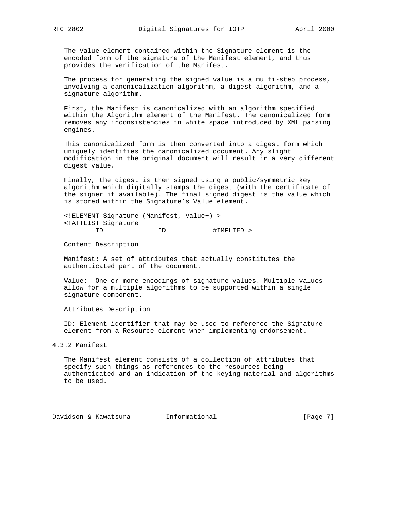The Value element contained within the Signature element is the encoded form of the signature of the Manifest element, and thus provides the verification of the Manifest.

 The process for generating the signed value is a multi-step process, involving a canonicalization algorithm, a digest algorithm, and a signature algorithm.

 First, the Manifest is canonicalized with an algorithm specified within the Algorithm element of the Manifest. The canonicalized form removes any inconsistencies in white space introduced by XML parsing engines.

 This canonicalized form is then converted into a digest form which uniquely identifies the canonicalized document. Any slight modification in the original document will result in a very different digest value.

 Finally, the digest is then signed using a public/symmetric key algorithm which digitally stamps the digest (with the certificate of the signer if available). The final signed digest is the value which is stored within the Signature's Value element.

 <!ELEMENT Signature (Manifest, Value+) > <!ATTLIST Signature ID ID #IMPLIED >

Content Description

 Manifest: A set of attributes that actually constitutes the authenticated part of the document.

 Value: One or more encodings of signature values. Multiple values allow for a multiple algorithms to be supported within a single signature component.

Attributes Description

 ID: Element identifier that may be used to reference the Signature element from a Resource element when implementing endorsement.

4.3.2 Manifest

 The Manifest element consists of a collection of attributes that specify such things as references to the resources being authenticated and an indication of the keying material and algorithms to be used.

Davidson & Kawatsura Informational [Page 7]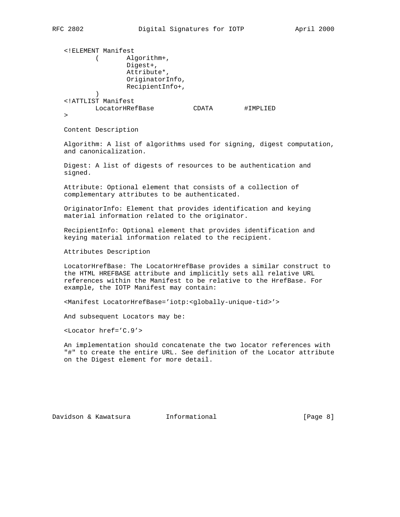```
 <!ELEMENT Manifest
         ( Algorithm+,
                 Digest+,
                 Attribute*,
                 OriginatorInfo,
                 RecipientInfo+,
 )
   <!ATTLIST Manifest
         LocatorHRefBase CDATA #IMPLIED
   >
```
Content Description

 Algorithm: A list of algorithms used for signing, digest computation, and canonicalization.

 Digest: A list of digests of resources to be authentication and signed.

 Attribute: Optional element that consists of a collection of complementary attributes to be authenticated.

 OriginatorInfo: Element that provides identification and keying material information related to the originator.

 RecipientInfo: Optional element that provides identification and keying material information related to the recipient.

Attributes Description

 LocatorHrefBase: The LocatorHrefBase provides a similar construct to the HTML HREFBASE attribute and implicitly sets all relative URL references within the Manifest to be relative to the HrefBase. For example, the IOTP Manifest may contain:

<Manifest LocatorHrefBase='iotp:<globally-unique-tid>'>

And subsequent Locators may be:

<Locator href='C.9'>

 An implementation should concatenate the two locator references with "#" to create the entire URL. See definition of the Locator attribute on the Digest element for more detail.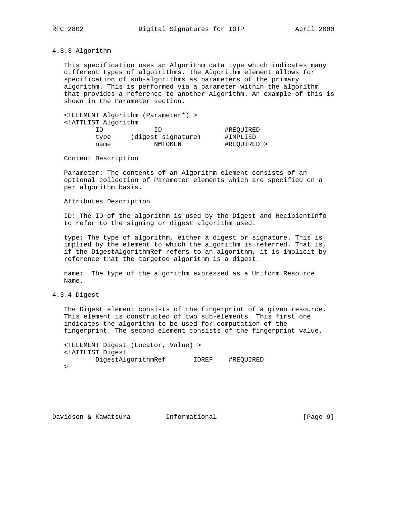# 4.3.3 Algorithm

 This specification uses an Algorithm data type which indicates many different types of algoirithms. The Algorithm element allows for specification of sub-algorithms as parameters of the primary algorithm. This is performed via a parameter within the algorithm that provides a reference to another Algorithm. An example of this is shown in the Parameter section.

 <!ELEMENT Algorithm (Parameter\*) > <!ATTLIST Algorithm ID ID #REQUIRED type (digest|signature) #IMPLIED name NMTOKEN #REQUIRED >

Content Description

 Parameter: The contents of an Algorithm element consists of an optional collection of Parameter elements which are specified on a per algorithm basis.

Attributes Description

 ID: The ID of the algorithm is used by the Digest and RecipientInfo to refer to the signing or digest algorithm used.

 type: The type of algorithm, either a digest or signature. This is implied by the element to which the algorithm is referred. That is, if the DigestAlgorithmRef refers to an algorithm, it is implicit by reference that the targeted algorithm is a digest.

 name: The type of the algorithm expressed as a Uniform Resource Name.

4.3.4 Digest

 The Digest element consists of the fingerprint of a given resource. This element is constructed of two sub-elements. This first one indicates the algorithm to be used for computation of the fingerprint. The second element consists of the fingerprint value.

 <!ELEMENT Digest (Locator, Value) > <!ATTLIST Digest DigestAlgorithmRef IDREF #REQUIRED  $\rightarrow$ 

Davidson & Kawatsura Informational [Page 9]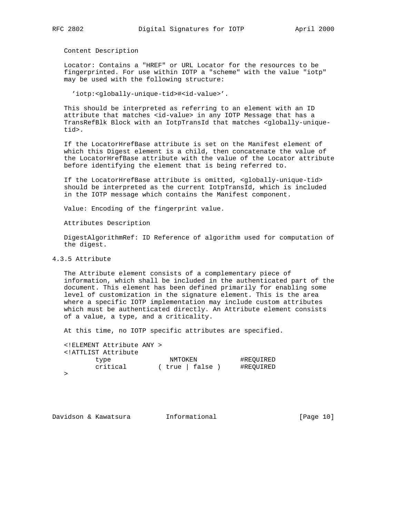Content Description

 Locator: Contains a "HREF" or URL Locator for the resources to be fingerprinted. For use within IOTP a "scheme" with the value "iotp" may be used with the following structure:

'iotp:<globally-unique-tid>#<id-value>'.

 This should be interpreted as referring to an element with an ID attribute that matches <id-value> in any IOTP Message that has a TransRefBlk Block with an IotpTransId that matches <globally-unique tid>.

 If the LocatorHrefBase attribute is set on the Manifest element of which this Digest element is a child, then concatenate the value of the LocatorHrefBase attribute with the value of the Locator attribute before identifying the element that is being referred to.

 If the LocatorHrefBase attribute is omitted, <globally-unique-tid> should be interpreted as the current IotpTransId, which is included in the IOTP message which contains the Manifest component.

Value: Encoding of the fingerprint value.

Attributes Description

 DigestAlgorithmRef: ID Reference of algorithm used for computation of the digest.

# 4.3.5 Attribute

 The Attribute element consists of a complementary piece of information, which shall be included in the authenticated part of the document. This element has been defined primarily for enabling some level of customization in the signature element. This is the area where a specific IOTP implementation may include custom attributes which must be authenticated directly. An Attribute element consists of a value, a type, and a criticality.

At this time, no IOTP specific attributes are specified.

 <!ELEMENT Attribute ANY > <!ATTLIST Attribute type NMTOKEN #REQUIRED critical ( true | false ) #REQUIRED  $\geq$ 

Davidson & Kawatsura 1nformational 10 [Page 10]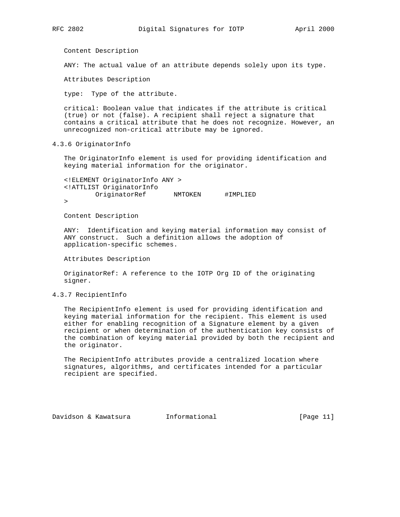Content Description

ANY: The actual value of an attribute depends solely upon its type.

Attributes Description

type: Type of the attribute.

 critical: Boolean value that indicates if the attribute is critical (true) or not (false). A recipient shall reject a signature that contains a critical attribute that he does not recognize. However, an unrecognized non-critical attribute may be ignored.

4.3.6 OriginatorInfo

 The OriginatorInfo element is used for providing identification and keying material information for the originator.

 <!ELEMENT OriginatorInfo ANY > <!ATTLIST OriginatorInfo OriginatorRef NMTOKEN #IMPLIED >

Content Description

 ANY: Identification and keying material information may consist of ANY construct. Such a definition allows the adoption of application-specific schemes.

Attributes Description

 OriginatorRef: A reference to the IOTP Org ID of the originating signer.

# 4.3.7 RecipientInfo

 The RecipientInfo element is used for providing identification and keying material information for the recipient. This element is used either for enabling recognition of a Signature element by a given recipient or when determination of the authentication key consists of the combination of keying material provided by both the recipient and the originator.

 The RecipientInfo attributes provide a centralized location where signatures, algorithms, and certificates intended for a particular recipient are specified.

Davidson & Kawatsura Informational [Page 11]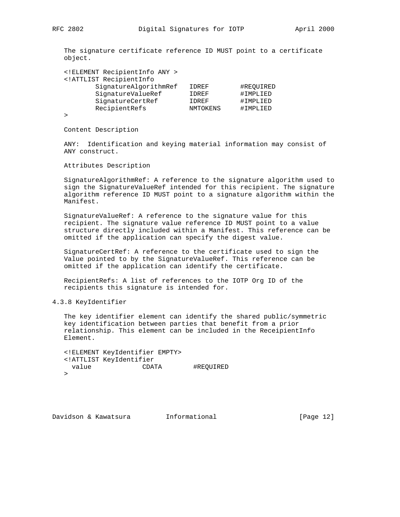The signature certificate reference ID MUST point to a certificate object.

| ELEMENT RecipientInfo ANY                     |                 |           |
|-----------------------------------------------|-----------------|-----------|
| ATTLIST RecipientInfo</th <th></th> <th></th> |                 |           |
| SignatureAlgorithmRef                         | IDREF           | #REOUIRED |
| SignatureValueRef                             | IDREF           | #IMPLIED  |
| SignatureCertRef                              | IDREF           | #IMPLIED  |
| RecipientRefs                                 | <b>NMTOKENS</b> | #IMPLIED  |
|                                               |                 |           |

>

Content Description

 ANY: Identification and keying material information may consist of ANY construct.

Attributes Description

 SignatureAlgorithmRef: A reference to the signature algorithm used to sign the SignatureValueRef intended for this recipient. The signature algorithm reference ID MUST point to a signature algorithm within the Manifest.

 SignatureValueRef: A reference to the signature value for this recipient. The signature value reference ID MUST point to a value structure directly included within a Manifest. This reference can be omitted if the application can specify the digest value.

 SignatureCertRef: A reference to the certificate used to sign the Value pointed to by the SignatureValueRef. This reference can be omitted if the application can identify the certificate.

 RecipientRefs: A list of references to the IOTP Org ID of the recipients this signature is intended for.

4.3.8 KeyIdentifier

 The key identifier element can identify the shared public/symmetric key identification between parties that benefit from a prior relationship. This element can be included in the ReceipientInfo Element.

 <!ELEMENT KeyIdentifier EMPTY> <!ATTLIST KeyIdentifier value CDATA #REQUIRED  $\geq$ 

Davidson & Kawatsura Informational [Page 12]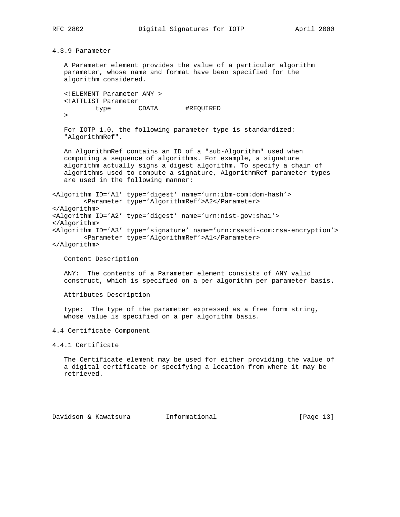4.3.9 Parameter

 A Parameter element provides the value of a particular algorithm parameter, whose name and format have been specified for the algorithm considered.

 <!ELEMENT Parameter ANY > <!ATTLIST Parameter type CDATA #REQUIRED  $\geq$ 

 For IOTP 1.0, the following parameter type is standardized: "AlgorithmRef".

 An AlgorithmRef contains an ID of a "sub-Algorithm" used when computing a sequence of algorithms. For example, a signature algorithm actually signs a digest algorithm. To specify a chain of algorithms used to compute a signature, AlgorithmRef parameter types are used in the following manner:

<Algorithm ID='A1' type='digest' name='urn:ibm-com:dom-hash'> <Parameter type='AlgorithmRef'>A2</Parameter> </Algorithm> <Algorithm ID='A2' type='digest' name='urn:nist-gov:sha1'> </Algorithm> <Algorithm ID='A3' type='signature' name='urn:rsasdi-com:rsa-encryption'> <Parameter type='AlgorithmRef'>A1</Parameter> </Algorithm>

Content Description

 ANY: The contents of a Parameter element consists of ANY valid construct, which is specified on a per algorithm per parameter basis.

Attributes Description

 type: The type of the parameter expressed as a free form string, whose value is specified on a per algorithm basis.

4.4 Certificate Component

4.4.1 Certificate

 The Certificate element may be used for either providing the value of a digital certificate or specifying a location from where it may be retrieved.

Davidson & Kawatsura Informational [Page 13]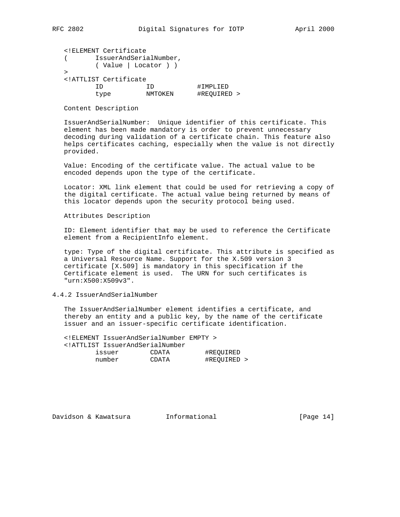| RFC | 2802 |
|-----|------|
|-----|------|

| ELEMENT Certificate</th <th></th> <th></th> |                        |             |
|---------------------------------------------|------------------------|-------------|
|                                             | IssuerAndSerialNumber, |             |
|                                             | (Value   Locator ) )   |             |
| ↘                                           |                        |             |
| ATTLIST Certificate</td <td></td> <td></td> |                        |             |
|                                             |                        | #IMPLIED    |
| type                                        | <b>NMTOKEN</b>         | #REOUIRED > |

Content Description

 IssuerAndSerialNumber: Unique identifier of this certificate. This element has been made mandatory is order to prevent unnecessary decoding during validation of a certificate chain. This feature also helps certificates caching, especially when the value is not directly provided.

 Value: Encoding of the certificate value. The actual value to be encoded depends upon the type of the certificate.

 Locator: XML link element that could be used for retrieving a copy of the digital certificate. The actual value being returned by means of this locator depends upon the security protocol being used.

Attributes Description

 ID: Element identifier that may be used to reference the Certificate element from a RecipientInfo element.

 type: Type of the digital certificate. This attribute is specified as a Universal Resource Name. Support for the X.509 version 3 certificate [X.509] is mandatory in this specification if the Certificate element is used. The URN for such certificates is "urn:X500:X509v3".

# 4.4.2 IssuerAndSerialNumber

 The IssuerAndSerialNumber element identifies a certificate, and thereby an entity and a public key, by the name of the certificate issuer and an issuer-specific certificate identification.

 <!ELEMENT IssuerAndSerialNumber EMPTY > <!ATTLIST IssuerAndSerialNumber issuer CDATA #REQUIRED number CDATA #REQUIRED >

Davidson & Kawatsura Informational [Page 14]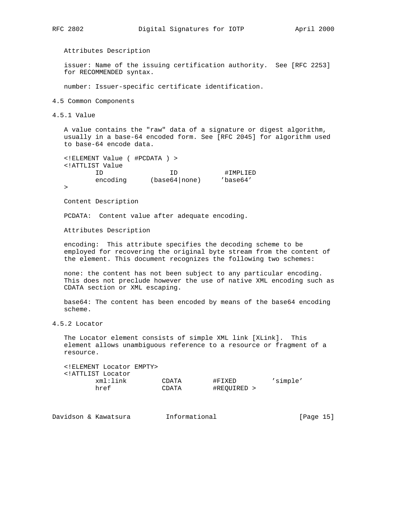Attributes Description

 issuer: Name of the issuing certification authority. See [RFC 2253] for RECOMMENDED syntax.

number: Issuer-specific certificate identification.

4.5 Common Components

4.5.1 Value

 A value contains the "raw" data of a signature or digest algorithm, usually in a base-64 encoded form. See [RFC 2045] for algorithm used to base-64 encode data.

| ELEMENT Value ( #PCDATA )             |               |                |
|---------------------------------------|---------------|----------------|
| ATTLIST Value</td <td></td> <td></td> |               |                |
| ΤD                                    | TD            | #IMPLIED       |
| encoding                              | (base64 none) | $'$ base $64'$ |
|                                       |               |                |

Content Description

PCDATA: Content value after adequate encoding.

Attributes Description

 encoding: This attribute specifies the decoding scheme to be employed for recovering the original byte stream from the content of the element. This document recognizes the following two schemes:

 none: the content has not been subject to any particular encoding. This does not preclude however the use of native XML encoding such as CDATA section or XML escaping.

 base64: The content has been encoded by means of the base64 encoding scheme.

4.5.2 Locator

 The Locator element consists of simple XML link [XLink]. This element allows unambiguous reference to a resource or fragment of a resource.

| ELEMENT Locator EMPTY<br>ATTLIST Locator</th <th></th> <th></th> <th></th> |       |             |          |
|----------------------------------------------------------------------------|-------|-------------|----------|
| xml:link                                                                   | CDATA | #FIXED      | 'simple' |
| href                                                                       | CDATA | #REOUIRED > |          |

| Davidson & Kawatsura |  | Informational | [Page 15] |  |
|----------------------|--|---------------|-----------|--|
|----------------------|--|---------------|-----------|--|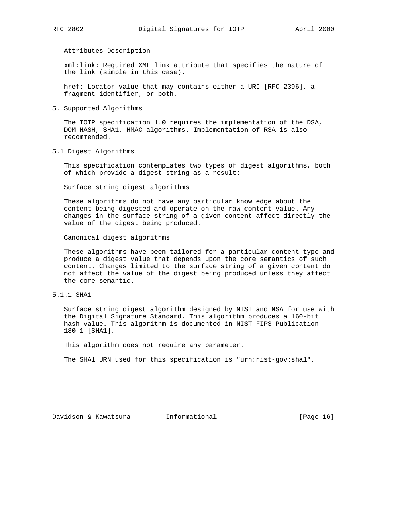Attributes Description

 xml:link: Required XML link attribute that specifies the nature of the link (simple in this case).

 href: Locator value that may contains either a URI [RFC 2396], a fragment identifier, or both.

5. Supported Algorithms

 The IOTP specification 1.0 requires the implementation of the DSA, DOM-HASH, SHA1, HMAC algorithms. Implementation of RSA is also recommended.

5.1 Digest Algorithms

 This specification contemplates two types of digest algorithms, both of which provide a digest string as a result:

Surface string digest algorithms

 These algorithms do not have any particular knowledge about the content being digested and operate on the raw content value. Any changes in the surface string of a given content affect directly the value of the digest being produced.

Canonical digest algorithms

 These algorithms have been tailored for a particular content type and produce a digest value that depends upon the core semantics of such content. Changes limited to the surface string of a given content do not affect the value of the digest being produced unless they affect the core semantic.

5.1.1 SHA1

 Surface string digest algorithm designed by NIST and NSA for use with the Digital Signature Standard. This algorithm produces a 160-bit hash value. This algorithm is documented in NIST FIPS Publication 180-1 [SHA1].

This algorithm does not require any parameter.

The SHA1 URN used for this specification is "urn:nist-gov:sha1".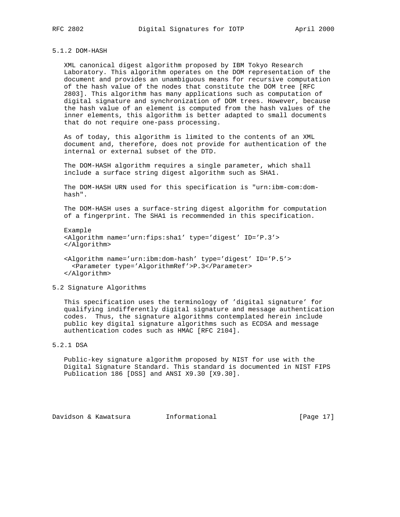# 5.1.2 DOM-HASH

 XML canonical digest algorithm proposed by IBM Tokyo Research Laboratory. This algorithm operates on the DOM representation of the document and provides an unambiguous means for recursive computation of the hash value of the nodes that constitute the DOM tree [RFC 2803]. This algorithm has many applications such as computation of digital signature and synchronization of DOM trees. However, because the hash value of an element is computed from the hash values of the inner elements, this algorithm is better adapted to small documents that do not require one-pass processing.

 As of today, this algorithm is limited to the contents of an XML document and, therefore, does not provide for authentication of the internal or external subset of the DTD.

 The DOM-HASH algorithm requires a single parameter, which shall include a surface string digest algorithm such as SHA1.

 The DOM-HASH URN used for this specification is "urn:ibm-com:dom hash".

 The DOM-HASH uses a surface-string digest algorithm for computation of a fingerprint. The SHA1 is recommended in this specification.

 Example <Algorithm name='urn:fips:sha1' type='digest' ID='P.3'> </Algorithm>

 <Algorithm name='urn:ibm:dom-hash' type='digest' ID='P.5'> <Parameter type='AlgorithmRef'>P.3</Parameter> </Algorithm>

# 5.2 Signature Algorithms

 This specification uses the terminology of 'digital signature' for qualifying indifferently digital signature and message authentication codes. Thus, the signature algorithms contemplated herein include public key digital signature algorithms such as ECDSA and message authentication codes such as HMAC [RFC 2104].

5.2.1 DSA

 Public-key signature algorithm proposed by NIST for use with the Digital Signature Standard. This standard is documented in NIST FIPS Publication 186 [DSS] and ANSI X9.30 [X9.30].

Davidson & Kawatsura Informational [Page 17]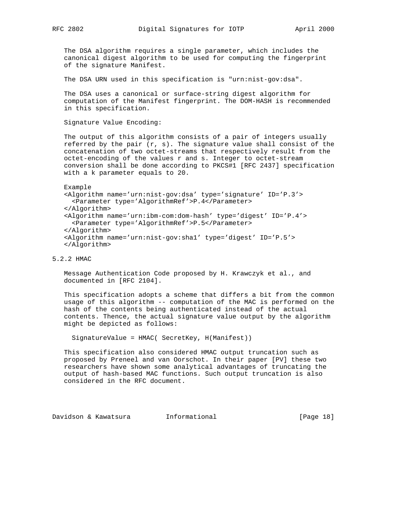The DSA algorithm requires a single parameter, which includes the canonical digest algorithm to be used for computing the fingerprint of the signature Manifest.

The DSA URN used in this specification is "urn:nist-gov:dsa".

 The DSA uses a canonical or surface-string digest algorithm for computation of the Manifest fingerprint. The DOM-HASH is recommended in this specification.

Signature Value Encoding:

 The output of this algorithm consists of a pair of integers usually referred by the pair  $(r, s)$ . The signature value shall consist of the concatenation of two octet-streams that respectively result from the octet-encoding of the values r and s. Integer to octet-stream conversion shall be done according to PKCS#1 [RFC 2437] specification with a k parameter equals to 20.

Example

 <Algorithm name='urn:nist-gov:dsa' type='signature' ID='P.3'> <Parameter type='AlgorithmRef'>P.4</Parameter> </Algorithm> <Algorithm name='urn:ibm-com:dom-hash' type='digest' ID='P.4'> <Parameter type='AlgorithmRef'>P.5</Parameter> </Algorithm> <Algorithm name='urn:nist-gov:sha1' type='digest' ID='P.5'> </Algorithm>

# 5.2.2 HMAC

 Message Authentication Code proposed by H. Krawczyk et al., and documented in [RFC 2104].

 This specification adopts a scheme that differs a bit from the common usage of this algorithm -- computation of the MAC is performed on the hash of the contents being authenticated instead of the actual contents. Thence, the actual signature value output by the algorithm might be depicted as follows:

SignatureValue = HMAC( SecretKey, H(Manifest))

 This specification also considered HMAC output truncation such as proposed by Preneel and van Oorschot. In their paper [PV] these two researchers have shown some analytical advantages of truncating the output of hash-based MAC functions. Such output truncation is also considered in the RFC document.

Davidson & Kawatsura Informational [Page 18]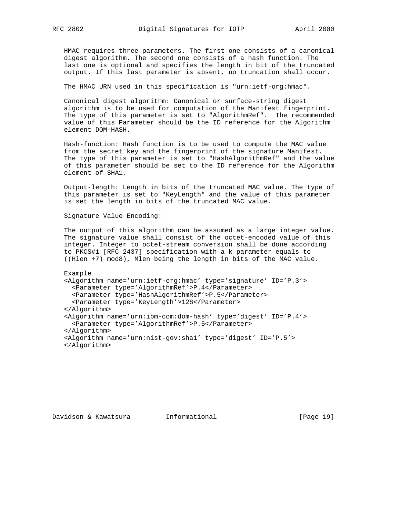HMAC requires three parameters. The first one consists of a canonical digest algorithm. The second one consists of a hash function. The last one is optional and specifies the length in bit of the truncated output. If this last parameter is absent, no truncation shall occur.

The HMAC URN used in this specification is "urn:ietf-org:hmac".

 Canonical digest algorithm: Canonical or surface-string digest algorithm is to be used for computation of the Manifest fingerprint. The type of this parameter is set to "AlgorithmRef". The recommended value of this Parameter should be the ID reference for the Algorithm element DOM-HASH.

 Hash-function: Hash function is to be used to compute the MAC value from the secret key and the fingerprint of the signature Manifest. The type of this parameter is set to "HashAlgorithmRef" and the value of this parameter should be set to the ID reference for the Algorithm element of SHA1.

 Output-length: Length in bits of the truncated MAC value. The type of this parameter is set to "KeyLength" and the value of this parameter is set the length in bits of the truncated MAC value.

Signature Value Encoding:

 The output of this algorithm can be assumed as a large integer value. The signature value shall consist of the octet-encoded value of this integer. Integer to octet-stream conversion shall be done according to PKCS#1 [RFC 2437] specification with a k parameter equals to ((Hlen +7) mod8), Mlen being the length in bits of the MAC value.

 Example <Algorithm name='urn:ietf-org:hmac' type='signature' ID='P.3'> <Parameter type='AlgorithmRef'>P.4</Parameter> <Parameter type='HashAlgorithmRef'>P.5</Parameter> <Parameter type='KeyLength'>128</Parameter> </Algorithm> <Algorithm name='urn:ibm-com:dom-hash' type='digest' ID='P.4'> <Parameter type='AlgorithmRef'>P.5</Parameter> </Algorithm> <Algorithm name='urn:nist-gov:sha1' type='digest' ID='P.5'> </Algorithm>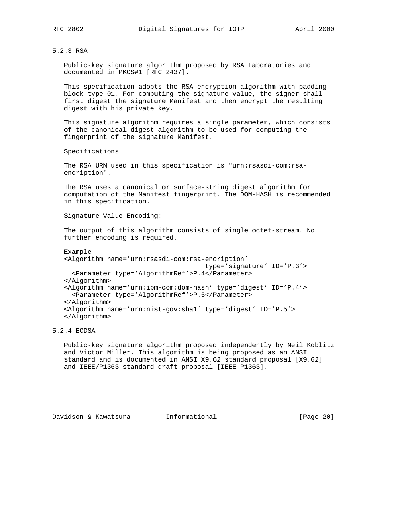#### 5.2.3 RSA

 Public-key signature algorithm proposed by RSA Laboratories and documented in PKCS#1 [RFC 2437].

 This specification adopts the RSA encryption algorithm with padding block type 01. For computing the signature value, the signer shall first digest the signature Manifest and then encrypt the resulting digest with his private key.

 This signature algorithm requires a single parameter, which consists of the canonical digest algorithm to be used for computing the fingerprint of the signature Manifest.

Specifications

 The RSA URN used in this specification is "urn:rsasdi-com:rsa encription".

 The RSA uses a canonical or surface-string digest algorithm for computation of the Manifest fingerprint. The DOM-HASH is recommended in this specification.

Signature Value Encoding:

 The output of this algorithm consists of single octet-stream. No further encoding is required.

 Example <Algorithm name='urn:rsasdi-com:rsa-encription' type='signature' ID='P.3'> <Parameter type='AlgorithmRef'>P.4</Parameter> </Algorithm> <Algorithm name='urn:ibm-com:dom-hash' type='digest' ID='P.4'> <Parameter type='AlgorithmRef'>P.5</Parameter> </Algorithm> <Algorithm name='urn:nist-gov:sha1' type='digest' ID='P.5'> </Algorithm>

5.2.4 ECDSA

 Public-key signature algorithm proposed independently by Neil Koblitz and Victor Miller. This algorithm is being proposed as an ANSI standard and is documented in ANSI X9.62 standard proposal [X9.62] and IEEE/P1363 standard draft proposal [IEEE P1363].

Davidson & Kawatsura Informational [Page 20]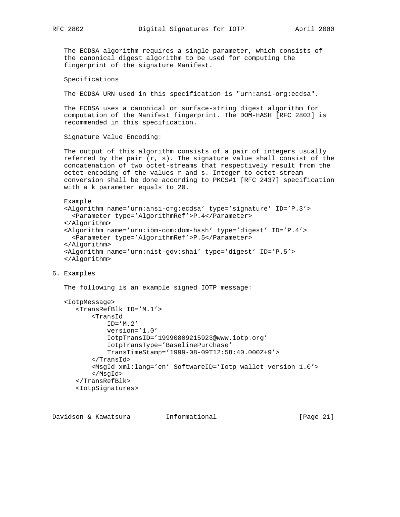The ECDSA algorithm requires a single parameter, which consists of the canonical digest algorithm to be used for computing the fingerprint of the signature Manifest.

Specifications

The ECDSA URN used in this specification is "urn:ansi-org:ecdsa".

 The ECDSA uses a canonical or surface-string digest algorithm for computation of the Manifest fingerprint. The DOM-HASH [RFC 2803] is recommended in this specification.

Signature Value Encoding:

 The output of this algorithm consists of a pair of integers usually referred by the pair  $(r, s)$ . The signature value shall consist of the concatenation of two octet-streams that respectively result from the octet-encoding of the values r and s. Integer to octet-stream conversion shall be done according to PKCS#1 [RFC 2437] specification with a k parameter equals to 20.

```
 Example
 <Algorithm name='urn:ansi-org:ecdsa' type='signature' ID='P.3'>
   <Parameter type='AlgorithmRef'>P.4</Parameter>
 </Algorithm>
 <Algorithm name='urn:ibm-com:dom-hash' type='digest' ID='P.4'>
   <Parameter type='AlgorithmRef'>P.5</Parameter>
```
</Algorithm>

```
 <Algorithm name='urn:nist-gov:sha1' type='digest' ID='P.5'>
 </Algorithm>
```
6. Examples

The following is an example signed IOTP message:

```
 <IotpMessage>
    <TransRefBlk ID='M.1'>
        <TransId
            ID='M.2'
            version='1.0'
            IotpTransID='19990809215923@www.iotp.org'
            IotpTransType='BaselinePurchase'
            TransTimeStamp='1999-08-09T12:58:40.000Z+9'>
        </TransId>
        <MsgId xml:lang='en' SoftwareID='Iotp wallet version 1.0'>
        </MsgId>
    </TransRefBlk>
    <IotpSignatures>
```
Davidson & Kawatsura Informational [Page 21]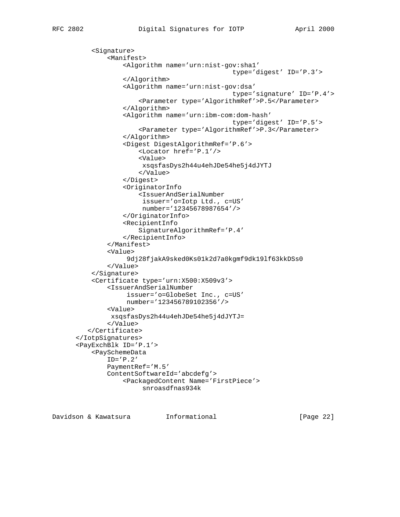<Signature> <Manifest> <Algorithm name='urn:nist-gov:sha1' type='digest' ID='P.3'> </Algorithm> <Algorithm name='urn:nist-gov:dsa' type='signature' ID='P.4'> <Parameter type='AlgorithmRef'>P.5</Parameter> </Algorithm> <Algorithm name='urn:ibm-com:dom-hash' type='digest' ID='P.5'> <Parameter type='AlgorithmRef'>P.3</Parameter> </Algorithm> <Digest DigestAlgorithmRef='P.6'> <Locator href='P.1'/> <Value> xsqsfasDys2h44u4ehJDe54he5j4dJYTJ </Value> </Digest> <OriginatorInfo <IssuerAndSerialNumber issuer='o=Iotp Ltd., c=US' number='12345678987654'/> </OriginatorInfo> <RecipientInfo SignatureAlgorithmRef='P.4' </RecipientInfo> </Manifest> <Value> 9dj28fjakA9sked0Ks01k2d7a0kgmf9dk19lf63kkDSs0 </Value> </Signature> <Certificate type='urn:X500:X509v3'> <IssuerAndSerialNumber issuer='o=GlobeSet Inc., c=US' number='123456789102356'/> <Value> xsqsfasDys2h44u4ehJDe54he5j4dJYTJ= </Value> </Certificate> </IotpSignatures> <PayExchBlk ID='P.1'> <PaySchemeData ID='P.2' PaymentRef='M.5' ContentSoftwareId='abcdefg'> <PackagedContent Name='FirstPiece'> snroasdfnas934k

Davidson & Kawatsura Informational [Page 22]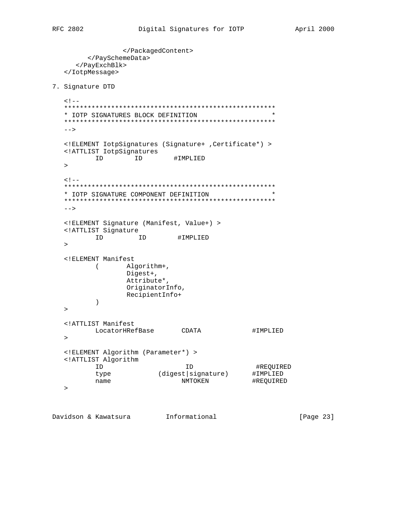```
 </PackagedContent>
        </PaySchemeData>
      </PayExchBlk>
   </IotpMessage>
7. Signature DTD
  < ! -- ******************************************************
   * IOTP SIGNATURES BLOCK DEFINITION *
   ******************************************************
  --> <!ELEMENT IotpSignatures (Signature+ ,Certificate*) >
   <!ATTLIST IotpSignatures
        ID ID #IMPLIED
  \geq<! - ******************************************************
   * IOTP SIGNATURE COMPONENT DEFINITION *
   ******************************************************
  --&> <!ELEMENT Signature (Manifest, Value+) >
   <!ATTLIST Signature
         ID ID #IMPLIED
  \geq <!ELEMENT Manifest
     ( Algorithm+,
                Digest+,
                Attribute*,
                OriginatorInfo,
                RecipientInfo+
        \rightarrow\geq <!ATTLIST Manifest
        LocatorHRefBase CDATA #IMPLIED
  \geq <!ELEMENT Algorithm (Parameter*) >
   <!ATTLIST Algorithm
 ID ID #REQUIRED
 type (digest|signature) #IMPLIED
```
Davidson & Kawatsura 1nformational 11.1 [Page 23]

name NMTOKEN +REQUIRED

 $\rightarrow$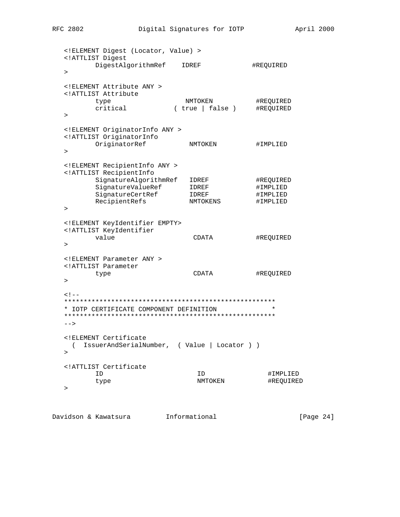| ELEMENT Digest (Locator, Value)                                    |                                |           |
|--------------------------------------------------------------------|--------------------------------|-----------|
| ATTLIST Digest<br DigestAlgorithmRef<br>$\geq$                     | IDREF                          | #REQUIRED |
|                                                                    |                                |           |
| ELEMENT Attribute ANY<br>ATTLIST Attribute</td <td></td> <td></td> |                                |           |
| type                                                               | NMTOKEN                        | #REQUIRED |
| critical<br>>                                                      | $(\text{true}   \text{false})$ | #REQUIRED |
| ELEMENT OriginatorInfo ANY                                         |                                |           |
| ATTLIST OriginatorInfo</td <td></td> <td></td>                     |                                |           |
| OriginatorRef                                                      | NMTOKEN                        | #IMPLIED  |
| $\geq$                                                             |                                |           |
| ELEMENT RecipientInfo ANY                                          |                                |           |
| ATTLIST RecipientInfo</td <td></td> <td></td>                      |                                |           |
| SignatureAlgorithmRef                                              | IDREF                          | #REQUIRED |
| SignatureValueRef                                                  | IDREF                          | #IMPLIED  |
| SignatureCertRef                                                   | IDREF                          | #IMPLIED  |
| RecipientRefs                                                      | NMTOKENS                       | #IMPLIED  |
| $\geq$                                                             |                                |           |
| ELEMENT KeyIdentifier EMPTY                                        |                                |           |
| ATTLIST KeyIdentifier</td <td></td> <td></td>                      |                                |           |
| value                                                              | CDATA                          | #REQUIRED |
| $\geq$                                                             |                                |           |
| ELEMENT Parameter ANY                                              |                                |           |
| ATTLIST Parameter</td <td></td> <td></td>                          |                                |           |
| type                                                               | CDATA                          | #REQUIRED |
| $\geq$                                                             |                                |           |
| $<$ ! --                                                           |                                |           |
|                                                                    |                                |           |
| * IOTP CERTIFICATE COMPONENT DEFINITION                            |                                | $\star$   |
| $--$                                                               |                                |           |
| ELEMENT Certificate</td <td></td> <td></td>                        |                                |           |
| IssuerAndSerialNumber, (Value   Locator ) )<br>(<br>>              |                                |           |
| ATTLIST Certificate</td <td></td> <td></td>                        |                                |           |
| ID                                                                 | ID                             | #IMPLIED  |
| type                                                               | NMTOKEN                        | #REQUIRED |
| $\, > \,$                                                          |                                |           |
|                                                                    |                                |           |

Davidson & Kawatsura 1nformational 111 (Page 24)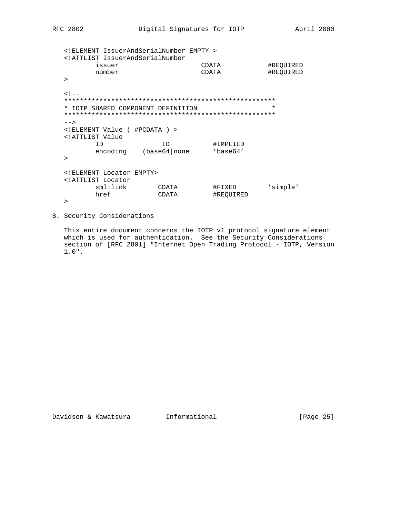| ATTLIST IssuerAndSerialNumber</td <td></td> <td></td> <td></td> |               |                |           |
|-----------------------------------------------------------------|---------------|----------------|-----------|
| issuer                                                          |               | CDATA          | #REQUIRED |
| number                                                          |               | CDATA          | #REQUIRED |
| $\geq$                                                          |               |                |           |
| $<$ ! $-$                                                       |               |                |           |
|                                                                 |               |                |           |
| IOTP SHARED COMPONENT DEFINITION<br>*                           |               |                | $\star$   |
|                                                                 |               |                |           |
| $--$                                                            |               |                |           |
| ELEMENT Value ( #PCDATA )                                       |               |                |           |
| ATTLIST Value</td <td></td> <td></td> <td></td>                 |               |                |           |
| ΤD                                                              | TD.           | #IMPLIED       |           |
| encoding                                                        | (base64 none) | $'$ base $64'$ |           |
| >                                                               |               |                |           |
| ELEMENT Locator EMPTY                                           |               |                |           |
| ATTLIST Locator</td <td></td> <td></td> <td></td>               |               |                |           |
| xml:link                                                        | CDATA         | #FIXED         | 'simple'  |
| href                                                            | CDATA         | #REOUIRED      |           |
| >                                                               |               |                |           |

8. Security Considerations

 This entire document concerns the IOTP v1 protocol signature element which is used for authentication. See the Security Considerations section of [RFC 2801] "Internet Open Trading Protocol - IOTP, Version 1.0".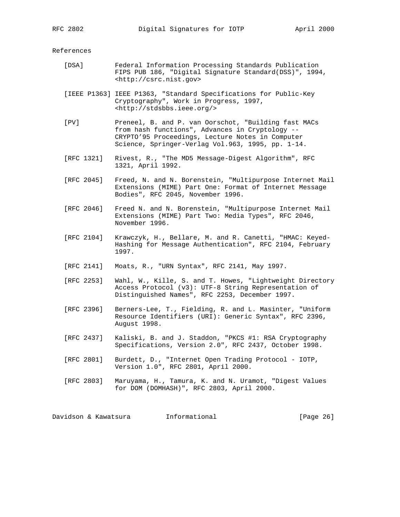References

- [DSA] Federal Information Processing Standards Publication FIPS PUB 186, "Digital Signature Standard(DSS)", 1994, <http://csrc.nist.gov>
- [IEEE P1363] IEEE P1363, "Standard Specifications for Public-Key Cryptography", Work in Progress, 1997, <http://stdsbbs.ieee.org/>
- [PV] Preneel, B. and P. van Oorschot, "Building fast MACs from hash functions", Advances in Cryptology -- CRYPTO'95 Proceedings, Lecture Notes in Computer Science, Springer-Verlag Vol.963, 1995, pp. 1-14.
- [RFC 1321] Rivest, R., "The MD5 Message-Digest Algorithm", RFC 1321, April 1992.
- [RFC 2045] Freed, N. and N. Borenstein, "Multipurpose Internet Mail Extensions (MIME) Part One: Format of Internet Message Bodies", RFC 2045, November 1996.
- [RFC 2046] Freed N. and N. Borenstein, "Multipurpose Internet Mail Extensions (MIME) Part Two: Media Types", RFC 2046, November 1996.
- [RFC 2104] Krawczyk, H., Bellare, M. and R. Canetti, "HMAC: Keyed- Hashing for Message Authentication", RFC 2104, February 1997.
- [RFC 2141] Moats, R., "URN Syntax", RFC 2141, May 1997.
- [RFC 2253] Wahl, W., Kille, S. and T. Howes, "Lightweight Directory Access Protocol (v3): UTF-8 String Representation of Distinguished Names", RFC 2253, December 1997.
- [RFC 2396] Berners-Lee, T., Fielding, R. and L. Masinter, "Uniform Resource Identifiers (URI): Generic Syntax", RFC 2396, August 1998.
- [RFC 2437] Kaliski, B. and J. Staddon, "PKCS #1: RSA Cryptography Specifications, Version 2.0", RFC 2437, October 1998.
- [RFC 2801] Burdett, D., "Internet Open Trading Protocol IOTP, Version 1.0", RFC 2801, April 2000.
- [RFC 2803] Maruyama, H., Tamura, K. and N. Uramot, "Digest Values for DOM (DOMHASH)", RFC 2803, April 2000.

Davidson & Kawatsura 1nformational 1000 [Page 26]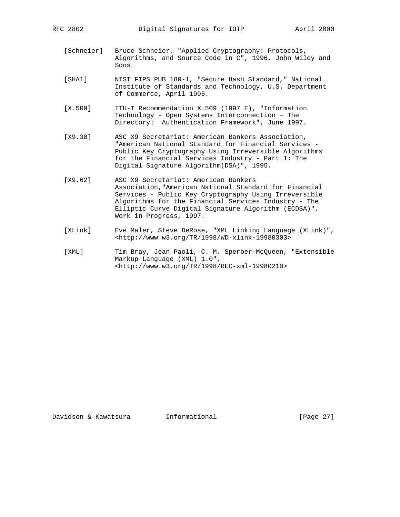- [Schneier] Bruce Schneier, "Applied Cryptography: Protocols, Algorithms, and Source Code in C", 1996, John Wiley and Sons
- [SHA1] NIST FIPS PUB 180-1, "Secure Hash Standard," National Institute of Standards and Technology, U.S. Department of Commerce, April 1995.
- [X.509] ITU-T Recommendation X.509 (1997 E), "Information Technology - Open Systems Interconnection - The Directory: Authentication Framework", June 1997.
- [X9.30] ASC X9 Secretariat: American Bankers Association, "American National Standard for Financial Services - Public Key Cryptography Using Irreversible Algorithms for the Financial Services Industry - Part 1: The Digital Signature Algorithm(DSA)", 1995.
- [X9.62] ASC X9 Secretariat: American Bankers Association,"American National Standard for Financial Services - Public Key Cryptography Using Irreversible Algorithms for the Financial Services Industry - The Elliptic Curve Digital Signature Algorithm (ECDSA)", Work in Progress, 1997.
- [XLink] Eve Maler, Steve DeRose, "XML Linking Language (XLink)", <http://www.w3.org/TR/1998/WD-xlink-19980303>
- [XML] Tim Bray, Jean Paoli, C. M. Sperber-McQueen, "Extensible Markup Language (XML) 1.0", <http://www.w3.org/TR/1998/REC-xml-19980210>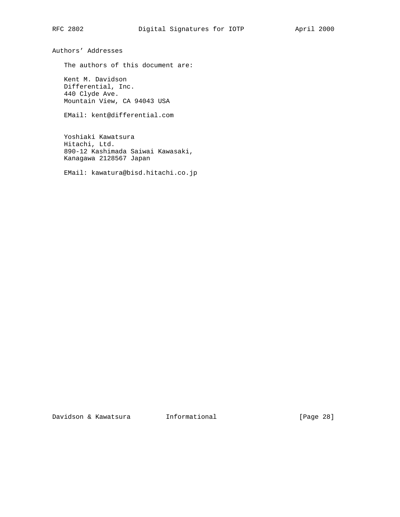Authors' Addresses

The authors of this document are:

 Kent M. Davidson Differential, Inc. 440 Clyde Ave. Mountain View, CA 94043 USA

EMail: kent@differential.com

 Yoshiaki Kawatsura Hitachi, Ltd. 890-12 Kashimada Saiwai Kawasaki, Kanagawa 2128567 Japan

EMail: kawatura@bisd.hitachi.co.jp

Davidson & Kawatsura 1nformational 1999 [Page 28]